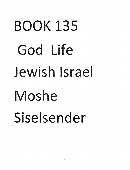## BOOK 135 God Life Jewish Israel Moshe Siselsender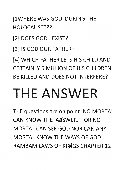[1WHERE WAS GOD DURING THE HOLOCAUST???

[2] DOES GOD EXIST?

[3] IS GOD OUR FATHER?

[4] WHICH FATHER LETS HIS CHILD AND CERTAINLY 6 MILLION OF HIS CHILDREN BE KILLED AND DOES NOT INTERFERE?

#### **THE ANSWER**

THE questions are on point. NO MORTAL CAN KNOW THE ARSWER. FOR NO MORTAL CAN SEE GOD NOR CAN ANY MORTAL KNOW THE WAYS OF GOD. RAMBAM LAWS OF KINGS CHAPTER 12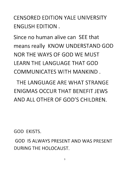CENSORED EDITION YALE UNIVERSITY **ENGLISH EDITION.** 

Since no human alive can SEE that means really KNOW UNDERSTAND GOD NOR THE WAYS OF GOD WE MUST LEARN THE LANGUAGE THAT GOD COMMUNICATES WITH MANKIND.

THE LANGUAGE ARE WHAT STRANGE ENIGMAS OCCUR THAT BENEFIT JEWS AND ALL OTHER OF GOD'S CHILDREN.

GOD EKISTS.

GOD IS ALWAYS PRESENT AND WAS PRESENT DURING THE HOLOCAUST.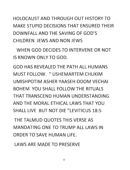HOLOCAUST AND THROUGH OUT HISTORY TO MAKE STUPID DECISIONS THAT ENSURED THEIR DOWNFALL AND THE SAVING OF GOD'S CHILDREN JEWS AND NON JEWS

WHEN GOD DECIDES TO INTERVENE OR NOT IS KNOWN ONLY TO GOD.

GOD HAS REVEALED THE PATH ALL HUMANS MUST FOLLOW. *"* USHEMARTEM CHUKIM UMISHPOTIM ASHER YAASEH ODOM VECHAI BOHEM YOU SHALL FOLLOW THE RITUALS THAT TRANSCEND HUMAN UNDERSTANDING AND THE MORAL ETHICAL LAWS THAT YOU SHALL LIVE BUT NOT DIE "LEVITICUS 18:5

THE TALMUD QUOTES THIS VERSE AS MANDATING ONE TRUMP ALL LAWS IN ORDER TO SAVE HUMAN LIFE.

LAWS ARE MADE TO PRESERVE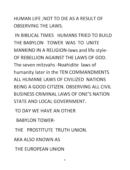#### HUMAN LIFE; NOT TO DIE AS A RESULT OF OBSERVING THE LAWS.

IN BIBLICAL TIMES HUMANS TRIED TO BUILD THE BABYLON TOWER WAS TO UNITE MANKIND IN A RELIGION-laws and life style-OF REBELLION AGAINST THE LAWS OF GOD. The seven mitzvahs -Noahidite laws of humanity later in the TEN COMMANDMENTS ALL HUMANE LAWS OF CIVILIZED NATIONS BEING A GOOD CITIZEN. OBSERVING ALL CIVIL BUSINESS CRIMINAL LAWS OF ONE'S NATION STATE AND LOCAL GOVERNMENT.

TO DAY WE HAVE AN OTHER

**BABYLON TOWER-**

THE PROSTITUTE TRUTH UNION.

AKA ALSO KNOWN AS

THE EUROPEAN UNION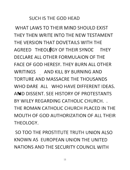#### SUCH IS THE GOD HEAD

WHAT LAWS TO THEIR MIND SHOULD EXIST THEN WRITE INTO THE NEW TESTAMENT THE VERSION THAT DOVETAILS WITH THE AGREED THEOLØGY OF THEIR SYNOL THEY DECLARE ALL OTHER FORMULAION OF THE FACE OF GOD HERESY. THEY BURN ALL OTHER WRITINGS AND KILL BY BURNING AND TORTURE AND MASSACRE THE THOUSANDS WHO DARF ALL WHO HAVE DIFFERENT IDEAS. AMD DISSENT. SEE HISTORY OF PROTESTANTS BY WILFY REGARDING CATHOLIC CHURCH. THE ROMAN CATHOLIC CHURCH PLACED IN THE MOUTH OF GOD AUTHORIZATION OF ALL THEIR THEOLOGY.

SO TOO THE PROSTITUTE TRUTH UNION ALSO KNOWN AS EUROPEAN UNION THE UNITED NATIONS AND THE SECURITY COUNCIL WITH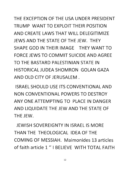THE EXCEPTION OF THE USA UNDER PRESIDENT TRUMP WANT TO EXPLOIT THEIR POSITION AND CREATE LAWS THAT WILL DELEGITIMIZE JEWS AND THE STATE OF THE JEW. THEY SHAPE GOD IN THEIR IMAGE THEY WANT TO FORCE JEWS TO COMMIT SUICIDE AND AGREE TO THE BASTARD PALESTINIAN STATE IN HISTORICAL JUDEA SHOMRON GOLAN GAZA AND OLD CITY OF JERUSALEM.

ISRAEL SHOULD USE ITS CONVENTIONAL AND NON CONVENTIONAL POWERS TO DESTROY ANY ONE ATTEMPTING TO PLACE IN DANGER AND LIQUIDATE THE JEW AND THE STATE OF THE JEW.

JEWISH SOVERFIGNTY IN ISRAEL IS MORE THAN THE THEOLOGICAL IDEA OF THE COMING OF MESSIAH. Maimonides 13 articles of faith article 1" I BELIEVE WITH TOTAL FAITH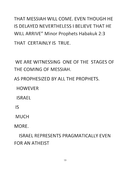THAT MESSIAH WILL COME. EVEN THOUGH HE IS DELAYED NEVERTHELESS I BELIEVE THAT HE WILL ARRIVE" Minor Prophets Habakuk 2:3 THAT CERTAINLY IS TRUE.

- WE ARE WITNESSING ONE OF THE STAGES OF THE COMING OF MESSIAH.

AS PROPHESIZED BY ALL THE PROPHETS.

HOWEVER

**ISRAEL** 

IS

MUCH

MORE.

**ISRAEL REPRESENTS PRAGMATICALLY EVEN** FOR AN ATHEIST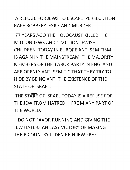A REFUGE FOR JEWS TO ESCAPE PERSECUTION RAPE ROBBERY EXILE AND MURDER.

77 YEARS AGO THE HOLOCAUST KILLED 6 MILLION JEWS AND 1 MILLION JEWISH CHILDREN. TODAY IN EUROPE ANTI SEMITISM IS AGAIN IN THE MAINSTREAM. THE MAJORITY MEMBERS OF THE LABOR PARTY IN ENGLAND ARE OPENLY ANTI SEMITIC THAT THEY TRY TO HIDE BY BEING ANTI THE EXISTENCE OF THE STATE OF ISRAEL.

THE STAKE OF ISRAEL TODAY IS A REFUSE FOR THE JEW FROM HATRED FROM ANY PART OF THE WORLD.

I DO NOT FAVOR RUNNING AND GIVING THE JEW HATERS AN EASY VICTORY OF MAKING THEIR COUNTRY JUDEN REIN JEW FREE.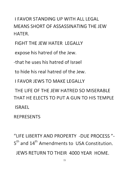**I FAVOR STANDING UP WITH ALL LEGAL** MEANS HORT OF ASSASSINATING THE JEW HATFR.

FIGHT THE JEW HATER LEGALLY

xpose his hatred of the Jew.

-that he uses his hatred of Israel

to hide his real hatred of the Jew.

I FAVOR JEWS TO MAKE LEGALLY

THE LIFE OF THE JEW HATRED SO MISERABLE THAT HE FLECTS TO PUT A GUN TO HIS TEMPLE ISRAEL

**REPRESENTS** 

"LIFE LIBERTY AND PROPERTY -DUE PROCESS"-5<sup>th</sup> and 14<sup>th</sup> Amendments to USA Constitution.

JEWS RETURN TO THEIR 4000 YEAR HOME.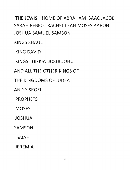THE JEWISH HOME OF ABRAHAM ISAAC JACOB SARAH REBECC RACHEL LEAH MOSES AARON **JOSHUA SAMUEL SAMSON** 

KINGS SHAUL

KING DAVID

KINGS HIZKIA JOSHIUOHU

AND ALL THE OTHER KINGS OF

THE KINGDOMS OF JUDEA

**AND YISROEL** 

PROPHETS

**MOSES** 

JOSHUA

SAMSON

ISAIAH

**JEREMIA**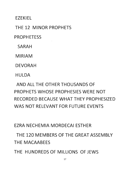**EZEKIEL** 

THE 12 MINOR PROPHETS

PROPHETESS

SARAH

MIRIAM

DEVORAH

**HULDA** 

AND ALL THE OTHER THOUSANDS OF PROPHETS WHOSE PROPHESIES WERE NOT RECORDED BECAUSE WHAT THEY PROPHESIZED WAS NOT RELEVANT FOR FUTURE EVENTS

EZRA NECHEMIA MORDECAI ESTHER

THE 120 MEMBERS OF THE GREAT ASSEMBLY THE MACAABEES

THE HUNDREDS OF MILLIONS OF JEWS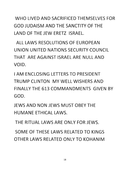WHO LIVED AND SACRIFICED THEMSELVES FOR GOD IUDAISM AND THE SANCTITY OF THE LAND OF THE IFW FRETZ ISRAEL.

ALL LAWS RESOLUTIONS OF EUROPEAN UNION UNITED NATIONS SECURITY COUNCIL THAT ARE AGAINST ISRAEL ARE NULL AND VOID.

**I AM FNCLOSING LETTERS TO PRESIDENT** TRUMP CLINTON MY WELL WISHERS AND FINALLY THE 613 COMMANDMENTS GIVEN BY GOD.

JEWS AND NON JEWS MUST OBEY THE HUMANE ETHICAL LAWS.

THE RITUAL LAWS ARE ONLY FOR JEWS.

SOME OF THESE LAWS RELATED TO KINGS OTHER LAWS RELATED ONLY TO KOHANIM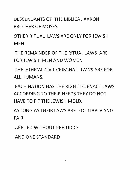DESCENDANTS OF THE BIBLICAL AARON **BROTHER OF MOSES** 

OTHER RITUAL LAWS ARE ONLY FOR JEWISH **NEN** 

THE REMAINDER OF THE RITUAL LAWS ARE FOR JEWISH MEN AND WOMEN

THE FTHICAL CIVIL CRIMINAL LAWS ARE FOR ALL HUMANS.

**FACH NATION HAS THE RIGHT TO FNACT LAWS** ACCORDING TO THEIR NEEDS THEY DO NOT HAVE TO FIT THE JEWISH MOLD.

AS LONG AS THEIR LAWS ARE EQUITABLE AND FAIR

APPLIED WITHOUT PREJUDICE

AND ONE STANDARD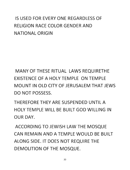#### IS USED FOR EVERY ONE REGARDLESS OF RELIGION RACE COLOR GENDER AND NATIONAL ORIGIN

MANY OF THESE RITUAL LAWS REQUIRETHE EXISTENCE OF A HOLY TEMPLE ON TEMPLE MOUNT IN OLD CITY OF JERUSALEM THAT JEWS DO NOT POSSESS.

THEREFORE THEY ARE SUSPENDED UNTIL A HOLY TEMPLE WILL BE BUILT GOD WILLING IN OUR DAY.

ACCORDING TO JEWISH LAW THE MOSQUE CAN REMAIN AND A TEMPLE WOULD BE BUILT ALONG SIDE. IT DOES NOT REQUIRE THE DEMOLITION OF THE MOSQUE.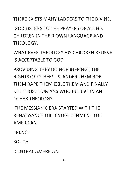THERE FXISTS MANY LADDERS TO THE DIVINE.

GOD LISTENS TO THE PRAYERS OF ALL HIS CHILDREN IN THEIR OWN LANGUAGE AND THEOLOGY.

WHAT EVER THEOLOGY HIS CHILDREN BELIEVE IS ACCEPTABLE TO GOD

PROVIDING THEY DO NOR INFRINGE THE RIGHTS OF OTHERS SLANDER THEM ROB THEM RAPE THEM FXILE THEM AND FINALLY KILL THOSE HUMANS WHO BELIEVE IN AN OTHER THEOLOGY.

THE MESSIANIC ERA STARTED WITH THE RENAISSANCE THE ENLIGHTENMENT THE AMERICAN

FRENCH

SOUTH

**CENTRAL AMERICAN**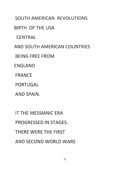SOUTH AMERICAN REVOLUTIONS

BIRTH OF THE USA

**CENTRAL** 

AND SOUTH AMERICAN COUNTRIES

BEING FREE FROM

ENGLAND

FRANCE

PORTUGAL

AND SPAIN.

IT THE MESSIANIC ERA PROGRESSED IN STAGES. THERE WERE THE FIRST AND SECOND WORLD WARS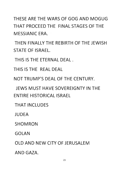THESE ARE THE WARS OF GOG AND MOGUG THAT PROCEFD THE FINAL STAGES OF THE MESSIANIC ERA.

THEN FINALLY THE REBIRTH OF THE JEWISH STATE OF ISRAEL.

THIS IS THE ETERNAL DEAL.

THIS IS THE REAL DEAL

NOT TRUMP'S DEAL OF THE CENTURY.

JEWS MUST HAVE SOVEREIGNTY IN THE **ENTIRE HISTORICAL ISRAEL** 

**THAT INCLUDES** 

**JUDEA** 

SHOMRON

GOLAN

OLD AND NEW CITY OF JERUSALEM

AND GAZA.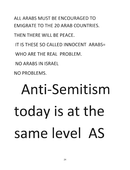ALL ARABS MUST BE ENCOURAGED TO EMIGRATE TO THE 20 ARAB COUNTRIES.

THEN THERE WILL BE PEACE.

IT IS THESE SO CALLED INNOCENT ARABS=

WHO ARE THE REAL PROBLEM.

NO ARABS IN ISRAEL

NO PROBLEMS.

#### **Anti-Sem itism today is at the same level AS**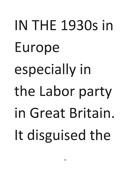## IN THE 1930s in Europe especially in the Labor party in Great Britain. It disguised the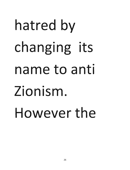## **hatred by**  changing its name to anti **Zionism.**  However the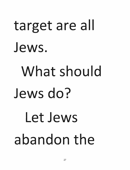#### target are all Jews.

#### What should Jews do?

#### Let Jews abandon the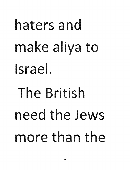## haters and make aliya to **Israel. The British need the Jews**  more than the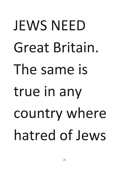### **JEWS NEED Great Britain. The same is true in any country where hatred of Jews**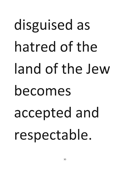### **disguised as**  hatred of the **land of the Jew becomes accepted and respectable.**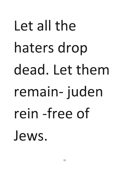#### Let all the **haters drop dead. Let them remain- juden rein -free of Jews.**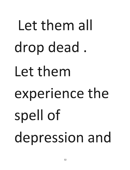## Let them all **drop dead.**  Let them **experience the spell of depression and**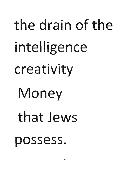# **the drain of the intelligence creativity Money that Jews possess.**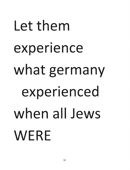### **Let them**  • **experience what germany experienced when all Jews WERE**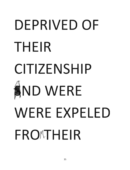### DEPRIVED OF **THEIR CITIZENS IP**  ND **WERE WERE EXPELED**  FRONTHEIR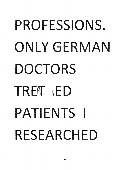### PROFESSIONS. **ONLY GERMAN DOCTORS TR ED PATIENTS I RESEARCHED**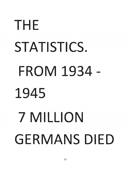## **THE STATISTICS. FROM 1934- 1945 7 MILLION**  GERMANS DIED